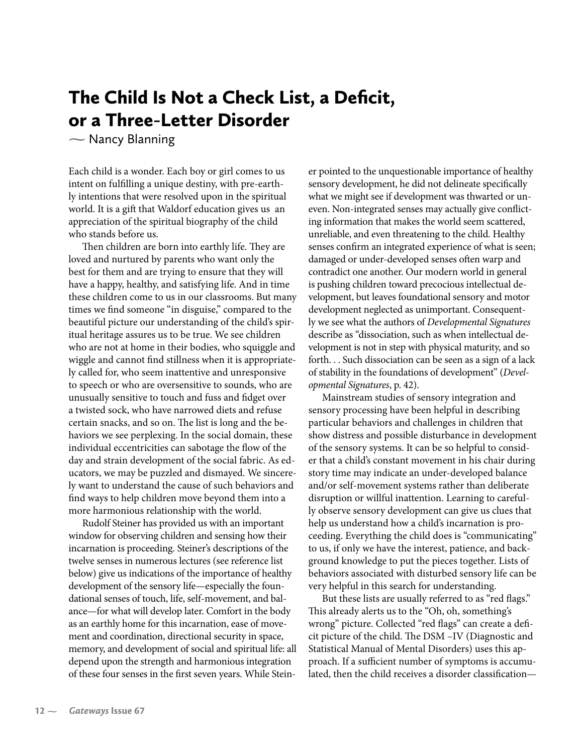## The Child Is Not a Check List, a Deficit, or a Three-Letter Disorder

- Nancy Blanning  $\sum_{i=1}^{n}$ 

Each child is a wonder. Each boy or girl comes to us intent on fulfilling a unique destiny, with pre-earthly intentions that were resolved upon in the spiritual world. It is a gift that Waldorf education gives us an appreciation of the spiritual biography of the child who stands before us.

Then children are born into earthly life. They are loved and nurtured by parents who want only the best for them and are trying to ensure that they will have a happy, healthy, and satisfying life. And in time these children come to us in our classrooms. But many times we find someone "in disguise," compared to the beautiful picture our understanding of the child's spiritual heritage assures us to be true. We see children who are not at home in their bodies, who squiggle and wiggle and cannot find stillness when it is appropriately called for, who seem inattentive and unresponsive to speech or who are oversensitive to sounds, who are unusually sensitive to touch and fuss and fidget over a twisted sock, who have narrowed diets and refuse certain snacks, and so on. The list is long and the behaviors we see perplexing. In the social domain, these individual eccentricities can sabotage the flow of the day and strain development of the social fabric. As educators, we may be puzzled and dismayed. We sincerely want to understand the cause of such behaviors and find ways to help children move beyond them into a more harmonious relationship with the world.

Rudolf Steiner has provided us with an important window for observing children and sensing how their incarnation is proceeding. Steiner's descriptions of the twelve senses in numerous lectures (see reference list below) give us indications of the importance of healthy development of the sensory life—especially the foundational senses of touch, life, self-movement, and balance—for what will develop later. Comfort in the body as an earthly home for this incarnation, ease of movement and coordination, directional security in space, memory, and development of social and spiritual life: all depend upon the strength and harmonious integration of these four senses in the first seven years. While Steiner pointed to the unquestionable importance of healthy sensory development, he did not delineate specifically what we might see if development was thwarted or uneven. Non-integrated senses may actually give conflicting information that makes the world seem scattered, unreliable, and even threatening to the child. Healthy senses confirm an integrated experience of what is seen; damaged or under-developed senses often warp and contradict one another. Our modern world in general is pushing children toward precocious intellectual development, but leaves foundational sensory and motor development neglected as unimportant. Consequently we see what the authors of *Developmental Signatures* describe as "dissociation, such as when intellectual development is not in step with physical maturity, and so forth. . . Such dissociation can be seen as a sign of a lack of stability in the foundations of development" (*Developmental Signatures*, p. 42).

Mainstream studies of sensory integration and sensory processing have been helpful in describing particular behaviors and challenges in children that show distress and possible disturbance in development of the sensory systems. It can be so helpful to consider that a child's constant movement in his chair during story time may indicate an under-developed balance and/or self-movement systems rather than deliberate disruption or willful inattention. Learning to carefully observe sensory development can give us clues that help us understand how a child's incarnation is proceeding. Everything the child does is "communicating" to us, if only we have the interest, patience, and background knowledge to put the pieces together. Lists of behaviors associated with disturbed sensory life can be very helpful in this search for understanding.

But these lists are usually referred to as "red flags." This already alerts us to the "Oh, oh, something's wrong" picture. Collected "red flags" can create a deficit picture of the child. The DSM –IV (Diagnostic and Statistical Manual of Mental Disorders) uses this approach. If a sufficient number of symptoms is accumulated, then the child receives a disorder classification—